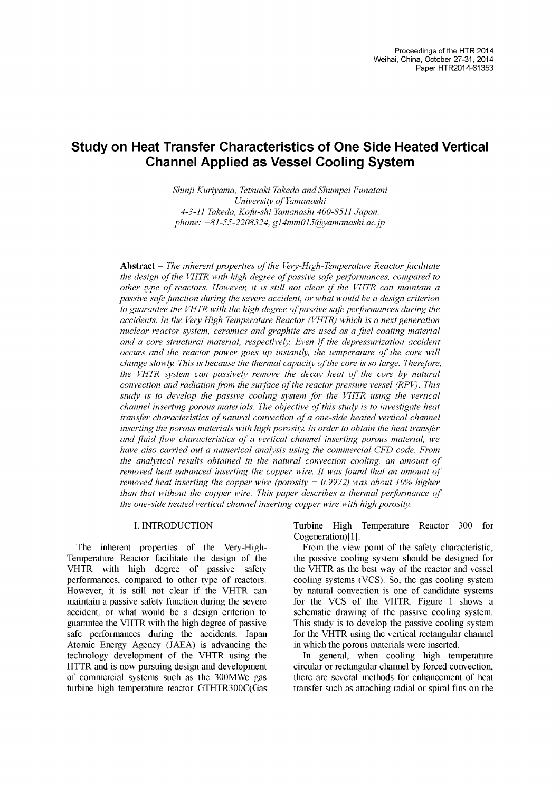# **Study on Heat Transfer Characteristics of One Side Heated Vertical Channel Applied as Vessel Cooling System**

*Shinji Kuriyama, Tetsuaki Takeda and Shumpei Funatani University of Yamanashi 4-3-11 Takeda, Kofu-shi Yamanashi 400-8511 Japan. phone: +81-55-2208324, [g14mm015@yamanashi.ac.jp](mailto:g14mm015%40yamanashi.ac.jp)*

**Abstract -** *The inherent properties ofthe Very-High-Temperature Reactorfacilitate the design ofthe VHTR with high degree ofpassive safe performances, compared to other type ofreactors. However, it is still not clear ifthe VHTR can maintain <sup>a</sup> passive safefunction during the severe accident, or whatwould be a design criterion to guarantee the VHTR with the high degree ofpassive safe performances during the accidents. In the Very High Temperature Reactor (VHTR) which is a next generation nuclear reactor system, ceramics and graphite are used as a fuel coating material and a core structural material, respectively. Even ifthe depressurization accident occurs and the reactor power goes up instantly, the temperature ofthe core will change slowly. This is because the thermal capacity ofthe core is so large. Therefore, the VHTR system can passively remove the decay heat of the core by natural convection and radiation from the surface of the reactor pressure vessel (RPV). This study is to develop the passive cooling system for the VHTR using the vertical channel inserting porous materials. The objective ofthis study is to investigate heat transfer characteristics ofnatural convection ofa one-side heated vertical channel inserting the porous materials with high porosity. In order to obtain the heattransfer and fluid flow characteristics of a vertical channel inserting porous material, we have also carried out a numerical analysis using the commercial CFD code. From the analytical results obtained in the natural convection cooling, an amount of removed heat enhanced inserting the copper wire. It wasfound that an amount of removed heat inserting the copper wire (porosity = 0.9972) was about 10% higher than that without the copper wire. This paper describes a thermal performance of the one-side heated vertical channel inserting copper wire with high porosity.*

### I. INTRODUCTION

The inherent properties of the Very-High-Temperature Reactor facilitate the design of the VHTR with high degree of passive safety performances, compared to other type of reactors. However, it is still not clear if the VHTR can maintain a passive safety function during the severe accident, or what would be a design criterion to guarantee the VHTR with the high degree of passive safe performances during the accidents. Japan Atomic Energy Agency (JAEA) is advancing the technology development of the VHTR using the HTTR and is now pursuing design and development of commercial systems such as the 300MWe gas turbine high temperature reactor GTHTR300C(Gas Turbine High Temperature Reactor 300 for Cogeneration)[1].

From the view point of the safety characteristic, the passive cooling system should be designed for the VHTR as the best way of the reactor and vessel cooling systems (VCS). So, the gas cooling system by natural convection is one of candidate systems for the VCS of the VHTR. Figure 1 shows a schematic drawing of the passive cooling system. This study is to develop the passive cooling system for the VHTR using the vertical rectangular channel in which the porous materials were inserted.

In general, when cooling high temperature circular or rectangular channel by forced convection, there are several methods for enhancement of heat transfer such as attaching radial or spiral fins on the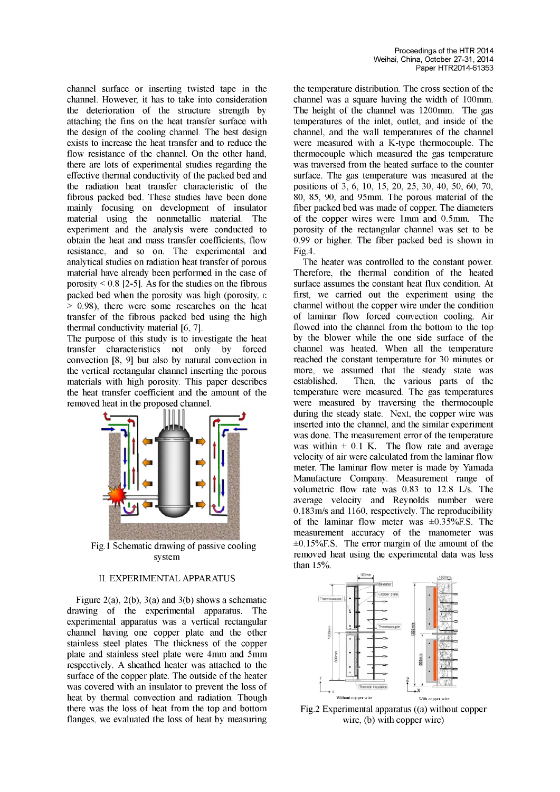channel surface or inserting twisted tape in the channel. However, it has to take into consideration the deterioration of the structure strength by attaching the fins on the heat transfer surface with the design of the cooling channel. The best design exists to increase the heat transfer and to reduce the flow resistance of the channel. On the other hand, there are lots of experimental studies regarding the effective thermal conductivity of the packed bed and the radiation heat transfer characteristic of the fibrous packed bed. These studies have been done mainly focusing on development of insulator material using the nonmetallic material. The experiment and the analysis were conducted to obtain the heat and mass transfer coefficients, flow resistance, and so on. The experimental and analytical studies on radiation heat transfer of porous material have already been performed in the case of porosity  $\leq$  0.8 [2-5]. As for the studies on the fibrous packed bed when the porosity was high (porosity, e > 0.98), there were some researches on the heat transfer of the fibrous packed bed using the high thermal conductivity material [6, 7].

The purpose of this study is to investigate the heat transfer characteristics not only by forced convection [8, 9] but also by natural convection in the vertical rectangular channel inserting the porous materials with high porosity. This paper describes the heat transfer coefficient and the amount of the removed heat in the proposed channel.



Fig.1 Schematic drawing of passive cooling system

# II. EXPERIMENTALAPPARATUS

Figure 2(a), 2(b), 3(a) and 3(b) shows a schematic drawing of the experimental apparatus. The experimental apparatus was a vertical rectangular channel having one copper plate and the other stainless steel plates. The thickness of the copper plate and stainless steel plate were 4mm and 5mm respectively. A sheathed heater was attached to the surface of the copper plate. The outside of the heater was covered with an insulator to prevent the loss of heat by thermal convection and radiation. Though there was the loss of heat from the top and bottom flanges, we evaluated the loss of heat by measuring the temperature distribution. The cross section of the channel was a square having the width of 100mm. The height of the channel was 1200mm. The gas temperatures of the inlet, outlet, and inside of the channel, and the wall temperatures of the channel were measured with a K-type thermocouple. The thermocouple which measured the gas temperature was traversed from the heated surface to the counter surface. The gas temperature was measured at the positions of 3, 6, 10, 15, 20, 25, 30, 40, 50, 60, 70, 80, 85, 90, and 95mm. The porous material of the fiber packed bed was made of copper. The diameters of the copper wires were 1mm and 0.5mm. The porosity of the rectangular channel was set to be 0.99 or higher. The fiber packed bed is shown in Fig.4.

The heater was controlled to the constant power. Therefore, the thermal condition of the heated surface assumes the constant heat flux condition. At first, we carried out the experiment using the channel without the copper wire under the condition of laminar flow forced convection cooling. Air flowed into the channel from the bottom to the top by the blower while the one side surface of the channel was heated. When all the temperature reached the constant temperature for 30 minutes or more, we assumed that the steady state was established. Then, the various parts of the temperature were measured. The gas temperatures were measured by traversing the thermocouple during the steady state. Next, the copper wire was inserted into the channel, and the similar experiment was done. The measurement error of the temperature was within  $\pm$  0.1 K. The flow rate and average velocity of air were calculated from the laminar flow meter. The laminar flow meter is made by Yamada Manufacture Company. Measurement range of volumetric flow rate was 0.83 to 12.8 L/s. The average velocity and Reynolds number were 0.183m/s and 1160, respectively. The reproducibility of the laminar flow meter was  $\pm 0.35\%$  F.S. The measurement accuracy of the manometer was  $\pm 0.15\%$  F.S. The error margin of the amount of the removed heat using the experimental data was less than 15%.



Fig.2 Experimental apparatus ((a) without copper wire, (b) with copper wire)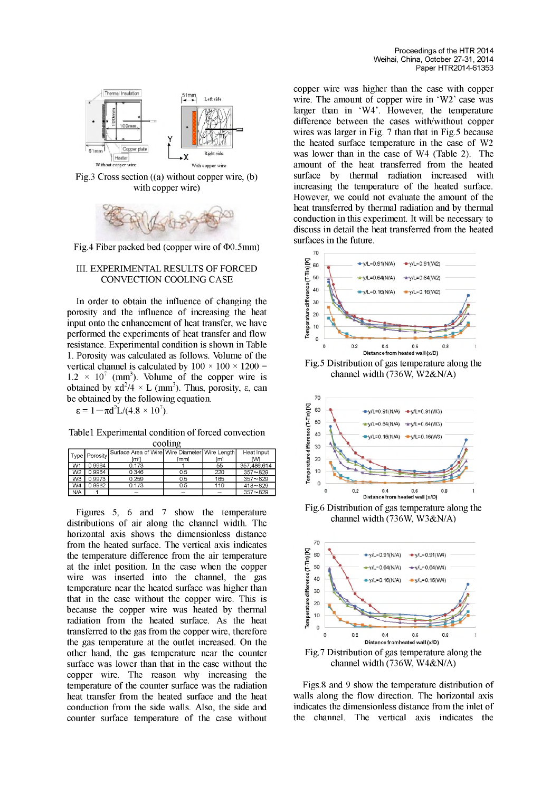

Fig.3 Cross section ((a) without copper wire, (b) with copper wire)



Fig.4 Fiber packed bed (copper wire of  $\Phi$ 0.5mm)

#### III. EXPERIMENTAL RESULTS OF FORCED CONVECTION COOLING CASE

In order to obtain the influence of changing the porosity and the influence of increasing the heat input onto the enhancement of heat transfer, we have performed the experiments of heat transfer and flow resistance. Experimental condition is shown in Table 1. Porosity was calculated as follows. Volume of the vertical channel is calculated by  $100 \times 100 \times 1200 =$  $1.2 \times 10^{7}$  (mm<sup>3</sup>). Volume of the copper wire is obtained by  $\pi d^2/4 \times L$  (mm<sup>3</sup>). Thus, porosity,  $\varepsilon$ , can be obtained by the following equation.

 $\varepsilon = 1 - \pi d^2L/(4.8 \times 10^7)$ .

Table1 Experimental condition of forced convection cooling

|                | Type Porosity | Surface Area of Wire Wire Diameter Wire Length |      |     | Heat Input  |  |
|----------------|---------------|------------------------------------------------|------|-----|-------------|--|
|                |               | [m²]                                           | ſmml | [m] | ſМ          |  |
| W <sub>1</sub> | 0.9964        | 0.173                                          |      | 55  | 357.486.614 |  |
| W <sub>2</sub> | 0.9964        | 0.346                                          | 0.5  | 220 | $357 - 829$ |  |
| W3             | 0.9973        | 0.259                                          | 0.5  | 165 | $357 - 829$ |  |
| W4             | 0.9982        | 0.173                                          | 0.5  | 110 | $418 - 829$ |  |
| N/A            |               |                                                |      |     | $357 - 829$ |  |

Figures 5, 6 and 7 show the temperature distributions of air along the channel width. The horizontal axis shows the dimensionless distance from the heated surface. The vertical axis indicates the temperature difference from the air temperature at the inlet position. In the case when the copper wire was inserted into the channel, the gas temperature near the heated surface was higher than that in the case without the copper wire. This is because the copper wire was heated by thermal radiation from the heated surface. As the heat transferred to the gas from the copper wire, therefore the gas temperature at the outlet increased. On the other hand, the gas temperature near the counter surface was lower than that in the case without the copper wire. The reason why increasing the temperature of the counter surface was the radiation heat transfer from the heated surface and the heat conduction from the side walls. Also, the side and counter surface temperature of the case without

copper wire was higher than the case with copper wire. The amount of copper wire in 'W2' case was larger than in 'W4'. However, the temperature difference between the cases with/without copper wires was larger in Fig. 7 than that in Fig.5 because the heated surface temperature in the case of W2 was lower than in the case of W4 (Table 2). The amount of the heat transferred from the heated surface by thermal radiation increased with increasing the temperature of the heated surface. However, we could not evaluate the amount of the heat transferred by thermal radiation and by thermal conduction in this experiment. It will be necessary to discuss in detail the heat transferred from the heated surfaces in the future.



Fig.5 Distribution of gas temperature along the channel width (736W, W2&N/A)



Fig.6 Distribution of gas temperature along the channel width (736W, W3&N/A)



Figs.8 and 9 show the temperature distribution of walls along the flow direction. The horizontal axis indicates the dimensionless distance from the inlet of the channel. The vertical axis indicates the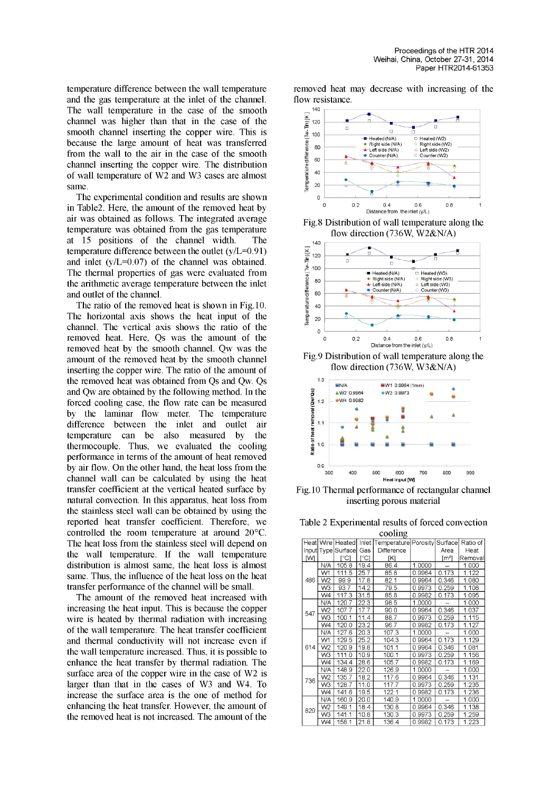temperature difference between the wall temperature and the gas temperature at the inlet of the channel. The wall temperature in the case of the smooth channel was higher than that in the case of the smooth channel inserting the copper wire. This is because the large amount of heat was transferred from the wall to the air in the case of the smooth channel inserting the copper wire. The distribution of wall temperature of W2 and W3 cases are almost same.

The experimental condition and results are shown in Table2. Here, the amount of the removed heat by air was obtained as follows. The integrated average temperature was obtained from the gas temperature at 15 positions of the channel width. The temperature difference between the outlet (y/L=0.91) and inlet (y/L=0.07) of the channel was obtained. The thermal properties of gas were evaluated from the arithmetic average temperature between the inlet and outlet of the channel.

The ratio of the removed heat is shown in Fig.10. The horizontal axis shows the heat input of the channel. The vertical axis shows the ratio of the removed heat. Here, Qs was the amount of the removed heat by the smooth channel. Qw was the amount of the removed heat by the smooth channel inserting the copper wire. The ratio of the amount of the removed heat was obtained from Qs and Qw. Qs and Qw are obtained by the following method. In the forced cooling case, the flow rate can be measured by the laminar flow meter. The temperature difference between the inlet and outlet air temperature can be also measured by the thermocouple. Thus, we evaluated the cooling performance in terms of the amount of heat removed by air flow. On the other hand, the heat loss from the channel wall can be calculated by using the heat transfer coefficient at the vertical heated surface by natural convection. In this apparatus, heat loss from the stainless steel wall can be obtained by using the reported heat transfer coefficient. Therefore, we controlled the room temperature at around 20°C. The heat loss from the stainless steel will depend on the wall temperature. If the wall temperature distribution is almost same, the heat loss is almost same. Thus, the influence of the heat loss on the heat transfer performance of the channel will be small.

The amount of the removed heat increased with increasing the heat input. This is because the copper wire is heated by thermal radiation with increasing of the wall temperature. The heat transfer coefficient and thermal conductivity will not increase even if the wall temperature increased. Thus, it is possible to enhance the heat transfer by thermal radiation. The surface area of the copper wire in the case of W2 is larger than that in the cases of W3 and W4. To increase the surface area is the one of method for enhancing the heat transfer. However, the amount of the removed heat is not increased. The amount of the

removed heat may decrease with increasing of the flow resistance.



flow direction (736W, W2&N/A)



Fig.9 Distribution of wall temperature along the flow direction (736W, W3&N/A)



Fig.10 Thermal performance of rectangular channel inserting porous material

Table 2 Experimental results of forced convection

| cooling |                    |                    |       |                              |        |                     |          |  |
|---------|--------------------|--------------------|-------|------------------------------|--------|---------------------|----------|--|
|         |                    | Heat Wire   Heated | Inlet | Temperature Porosity Surface |        |                     | Ratio of |  |
|         | Input Type Surface |                    | Gas   | Difference                   |        | Area                | Heat     |  |
| ſМ      |                    | r°C1               | ୮°C1  | [K]                          |        | $\lceil m^2 \rceil$ | Removal  |  |
|         | N/A                | 105.8              | 19.4  | 86.4                         | 1.0000 |                     | 1.000    |  |
|         | W1                 | 111.5              | 25.7  | 85.8                         | 0.9964 | 0.173               | 1.122    |  |
| 486     | W <sub>2</sub>     | 99.9               | 17.8  | 82.1                         | 0.9964 | 0.346               | 1.080    |  |
|         | W3                 | 93.7               | 14.2  | 79.5                         | 0.9973 | 0.259               | 1.108    |  |
|         | W4                 | 117.3              | 31.5  | 85.8                         | 0.9982 | 0.173               | 1.095    |  |
|         | N/A                | 120.7              | 22.3  | 98.5                         | 1.0000 |                     | 1.000    |  |
| 547     | W <sub>2</sub>     | 107.7              | 17.7  | 90.0                         | 0.9964 | 0.346               | 1.037    |  |
|         | W3                 | 100.1              | 11.4  | 88.7                         | 0.9973 | 0.259               | 1.115    |  |
|         | W4                 | 120.0              | 23.2  | 96.7                         | 0.9982 | 0.173               | 1.127    |  |
|         | N/A                | 127.6              | 20.3  | 107.3                        | 1.0000 |                     | 1.000    |  |
|         | W1                 | 129.5              | 25.2  | 104.3                        | 0.9964 | 0.173               | 1.129    |  |
| 614     | W <sub>2</sub>     | 120.9              | 19.8  | 101.1                        | 0.9964 | 0.346               | 1.081    |  |
|         | W3                 | 111.0              | 10.9  | 100.1                        | 0.9973 | 0.259               | 1.156    |  |
|         | W4                 | 134.4              | 28.6  | 105.7                        | 0.9982 | 0.173               | 1.169    |  |
|         | N/A                | 148.9              | 22.0  | 126.9                        | 1.0000 |                     | 1.000    |  |
| 736     | W <sub>2</sub>     | 135.7              | 18.2  | 117.6                        | 0.9964 | 0.346               | 1.131    |  |
|         | WЗ                 | 128.7              | 11.0  | 117.7                        | 0.9973 | 0.259               | 1.235    |  |
|         | W4                 | 141.6              | 19.5  | 122.1                        | 0.9982 | 0.173               | 1.236    |  |
|         | N/A                | 160.9              | 20.0  | 140.9                        | 1.0000 |                     | 1.000    |  |
| 829     | W <sub>2</sub>     | 149.1              | 18.4  | 130.8                        | 0.9964 | 0.346               | 1.138    |  |
|         | W3                 | 141.1              | 10.8  | 130.3                        | 0.9973 | 0.259               | 1.259    |  |
|         | W4                 | 158.1              | 21.8  | 136.4                        | 0.9982 | 0.173               | 1.223    |  |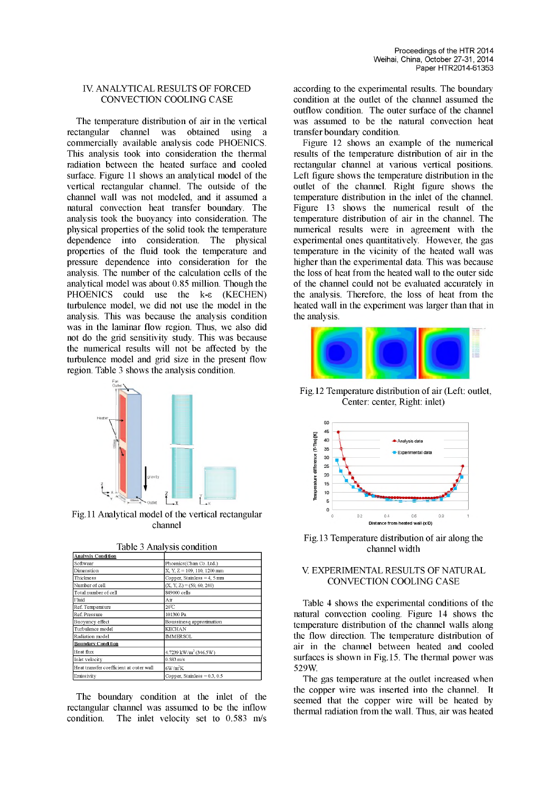## IV. ANALYTICAL RESULTS OF FORCED CONVECTION COOLING CASE

The temperature distribution of air in the vertical rectangular channel was obtained using a commercially available analysis code PHOENICS. This analysis took into consideration the thermal radiation between the heated surface and cooled surface. Figure 11 shows an analytical model of the vertical rectangular channel. The outside of the channel wall was not modeled, and it assumed a natural convection heat transfer boundary. The analysis took the buoyancy into consideration. The physical properties of the solid took the temperature dependence into consideration. The physical properties of the fluid took the temperature and pressure dependence into consideration for the analysis. The number of the calculation cells of the analytical model was about  $0.85$  million. Though the PHOENICS could use the  $k-\epsilon$  (KECHEN) could use the  $k-\epsilon$  (KECHEN) turbulence model, we did not use the model in the analysis. This was because the analysis condition was in the laminar flow region. Thus, we also did not do the grid sensitivity study. This was because the numerical results will not be affected by the turbulence model and grid size in the present flow region. Table 3 shows the analysis condition.



Fig.11 Analytical model of the vertical rectangular channel

| <b>Analysis Condition</b>               |                                          |
|-----------------------------------------|------------------------------------------|
| Softwear                                | Phoenics(Chan Co. Ltd.)                  |
| Dimenstion                              | X, Y, Z = 109, 110, 1200 mm              |
| Thickness                               | Copper, Stainless = $4$ , 5 mm           |
| Number of cell                          | $(X, Y, Z) = (59, 60, 240)$              |
| Total number of cell                    | 849000 cells                             |
| Fhid                                    | Аiг                                      |
| Ref. Temperature                        | $20^{\circ}$ C                           |
| Ref. Pressure                           | 101300 Pa                                |
| Buoyancy effect                         | Boussinesq approximation                 |
| Turbulence model                        | <b>KECHAN</b>                            |
| Radiation model                         | <b>IMMERSOL</b>                          |
| Boundary Condition                      |                                          |
| Heat flux                               | $4.7239 \text{ kW/m}^2 (346.5 \text{W})$ |
| Inlet velocity                          | $0.583 \text{ m/s}$                      |
| Heat transfer coefficient at outer wall | $6W/m^2K$                                |
| Emissivity                              | Copper, Stainless = $0.3$ , $0.5$        |

Table 3 Analysis condition

The boundary condition at the inlet of the rectangular channel was assumed to be the inflow condition. The inlet velocity set to 0.583 m/s according to the experimental results. The boundary condition at the outlet of the channel assumed the outflow condition. The outer surface of the channel was assumed to be the natural convection heat transfer boundary condition.

Figure 12 shows an example of the numerical results of the temperature distribution of air in the rectangular channel at various vertical positions. Left figure shows the temperature distribution in the outlet of the channel. Right figure shows the temperature distribution in the inlet of the channel. Figure 13 shows the numerical result of the temperature distribution of air in the channel. The numerical results were in agreement with the experimental ones quantitatively. However, the gas temperature in the vicinity of the heated wall was higher than the experimental data. This was because the loss of heat from the heated wall to the outer side of the channel could not be evaluated accurately in the analysis. Therefore, the loss of heat from the heated wall in the experiment was larger than that in the analysis.



Fig.12 Temperature distribution of air (Left: outlet, Center: center, Right: inlet)



Fig.13 Temperature distribution of air along the channel width

# V. EXPERIMENTAL RESULTS OF NATURAL CONVECTION COOLING CASE

Table 4 shows the experimental conditions of the natural convection cooling. Figure 14 shows the temperature distribution of the channel walls along the flow direction. The temperature distribution of air in the channel between heated and cooled surfaces is shown in Fig.15. The thermal power was 529W.

The gas temperature at the outlet increased when the copper wire was inserted into the channel. It seemed that the copper wire will be heated by thermal radiation from the wall. Thus, air was heated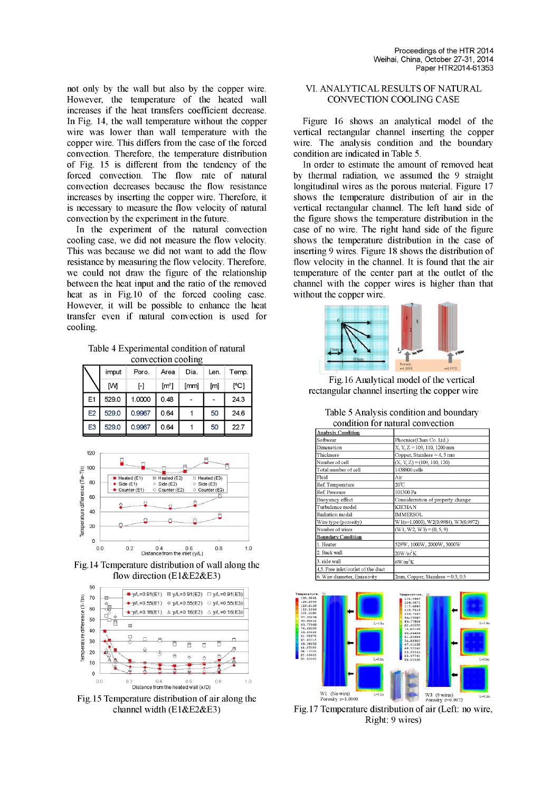not only by the wall but also by the copper wire. However, the temperature of the heated wall increases if the heat transfers coefficient decrease. In Fig. 14, the wall temperature without the copper wire was lower than wall temperature with the copper wire. This differs from the case of the forced convection. Therefore, the temperature distribution of Fig. 15 is different from the tendency of the forced convection. The flow rate of natural convection decreases because the flow resistance increases by inserting the copper wire. Therefore, it is necessary to measure the flow velocity of natural convection by the experiment in the future.

In the experiment of the natural convection cooling case, we did not measure the flow velocity. This was because we did not want to add the flow resistance by measuring the flow velocity. Therefore, we could not draw the figure of the relationship between the heat input and the ratio of the removed heat as in Fig.10 of the forced cooling case. However, it will be possible to enhance the heat transfer even if natural convection is used for cooling.

Table 4 Experimental condition of natural convection cooling

| convection cooling |          |        |                   |      |      |       |  |  |  |
|--------------------|----------|--------|-------------------|------|------|-------|--|--|--|
|                    | imput    | Poro.  | Area              | Dia. | Len. | Temp. |  |  |  |
|                    | <b>M</b> | H      | [ <sup>n²</sup> ] | Imml | [m]  | [°C]  |  |  |  |
| E1                 | 529.0    | 1.0000 | 0.48              |      |      | 24.3  |  |  |  |
| E2                 | 529.0    | 0.9967 | 0.64              |      | 50   | 24.6  |  |  |  |
| E <sub>3</sub>     | 529.0    | 0.9967 | 0.64              |      | 50   | 22.7  |  |  |  |



Fig.14 Temperature distribution of wall along the flow direction (E1&E2&E3)



Fig.15 Temperature distribution of air along the channel width (E1&E2&E3)

# VI. ANALYTICAL RESULTS OF NATURAL CONVECTION COOLING CASE

Figure 16 shows an analytical model of the vertical rectangular channel inserting the copper wire. The analysis condition and the boundary condition are indicated in Table 5.

In order to estimate the amount of removed heat by thermal radiation, we assumed the 9 straight longitudinal wires as the porous material. Figure 17 shows the temperature distribution of air in the vertical rectangular channel. The left hand side of the figure shows the temperature distribution in the case of no wire. The right hand side of the figure shows the temperature distribution in the case of inserting 9 wires. Figure 18 shows the distribution of flow velocity in the channel. It is found that the air temperature of the center part at the outlet of the channel with the copper wires is higher than that without the copper wire.



Fig.16 Analytical model of the vertical rectangular channel inserting the copper wire

|                                    | oonannon ivi muunu ooni oonon                      |
|------------------------------------|----------------------------------------------------|
| Analysis Condition                 |                                                    |
| Softwear                           | Phoenics (Chan Co. Ltd.)                           |
| Dimenstion                         | $X, Y, Z = 109, 110, 1200$ mm                      |
| <b>Thickness</b>                   | Copper, Stainless = $4, 5$ mm                      |
| Number of cell                     | $(X, Y, Z) = (109, 110, 120)$                      |
| Total number of cell               | 1438800 cells                                      |
| Fhid                               | Air                                                |
| Ref. Temperature                   | $20^{\circ}$ C                                     |
| Ref. Pressure                      | 101300 Pa                                          |
| Buoyancy effect                    | Considerration of property change                  |
| Turbulence model                   | <b>KECHAN</b>                                      |
| Radiation model                    | <b>IMMERSOL</b>                                    |
| Wire type (porosity)               | W1( $\varepsilon$ =1.0000), W2(0.9984), W3(0.9972) |
| Number of wires                    | $(W1, W2, W3) = (0, 5, 9)$                         |
| <u> Boundary Condition</u>         |                                                    |
| 1. Heater                          | 529W, 1000W, 2000W, 3000W                          |
| 2. Back wall                       | $20W/m^2K$                                         |
| 3. side wall                       | $6W/m^2K$                                          |
| 4,5. Free inlet/outlet of the duct |                                                    |
| 6. Wire diameter, Emissivity       | $2mm$ , Copper, Stainless = 0.3, 0.5               |

Table 5 Analysis condition and boundary condition for natural convection



Fig.17 Temperature distribution of air (Left: no wire, Right: 9 wires)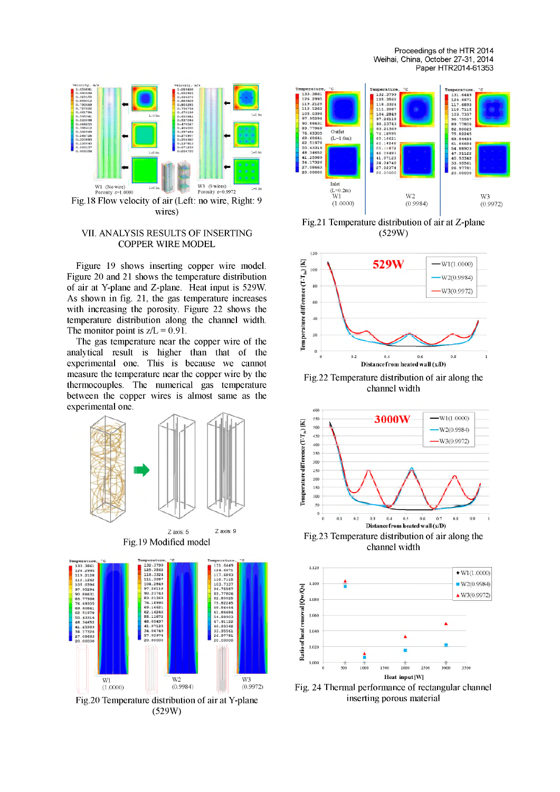Proceedings of the HTR 2014 Weihai, China, October 27-31, 2014 Paper HTR2014-61353



### VII. ANALYSIS RESULTS OF INSERTING COPPER WIRE MODEL

Figure 19 shows inserting copper wire model. Figure 20 and 21 shows the temperature distribution of air at Y-plane and Z-plane. Heat input is 529W. As shown in fig. 21, the gas temperature increases with increasing the porosity. Figure 22 shows the temperature distribution along the channel width. The monitor point is  $z/L = 0.91$ .

The gas temperature near the copper wire of the analytical result is higher than that of the experimental one. This is because we cannot measure the temperature near the copper wire by the thermocouples. The numerical gas temperature between the copper wires is almost same as the experimental one.







peratur<br>132.3799<br>125.3562<br>118.3324 mperature<br>
131.6449<br>
131.6449<br>
131.6449<br>
103.7337<br>
96.75587<br>
89.75587<br>
89.75587<br>
89.80025<br>
68.84466<br>
61.8668<br>
47.91122<br>
40.933486<br>
47.91122<br>
40.93342<br>
33.95561<br>
26.9751 133.3861<br>126.2995 119.2128<br>112.1262<br>12.1262<br>12.1262<br>105.0398<br>50.66431<br>77.968<br>62.51976<br>62.51976<br>62.51976<br>44.17326<br>44.17326<br>27.00641 Outlet<br> $(L=1.0m)$ **76.18995 69.16621 62.14246 55.11872 48.09497 41.07123 34.04749 27.02374 20.00000** Inlet (L=0.2m) W1 W3 W2 (0.9984) (1.0000)  $(0.9972)$ 

Fig.21 Temperature distribution of air at Z-plane (529W)



Fig.22 Temperature distribution of air along the channel width



channel width



Fig. 24 Thermal performance of rectangular channel inserting porous material

(529W)